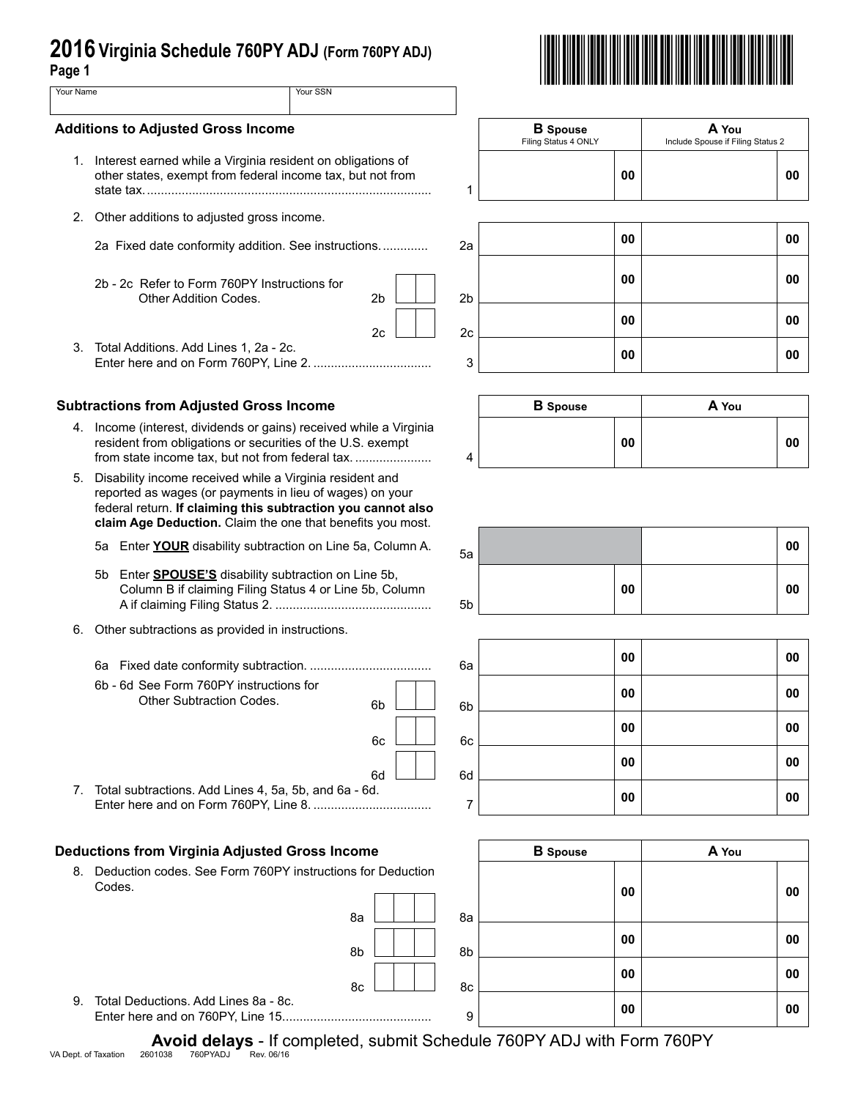| 2016 Virginia Schedule 760PY ADJ (Form 760PY ADJ)<br>Page 1 |                                                                                                                                                                                                                                                    |                |                |                                         |                                            |    |  |
|-------------------------------------------------------------|----------------------------------------------------------------------------------------------------------------------------------------------------------------------------------------------------------------------------------------------------|----------------|----------------|-----------------------------------------|--------------------------------------------|----|--|
| Your Name                                                   |                                                                                                                                                                                                                                                    | Your SSN       |                |                                         |                                            |    |  |
| <b>Additions to Adjusted Gross Income</b>                   |                                                                                                                                                                                                                                                    |                |                | <b>B</b> Spouse<br>Filing Status 4 ONLY | A You<br>Include Spouse if Filing Status 2 |    |  |
|                                                             | 1. Interest earned while a Virginia resident on obligations of<br>other states, exempt from federal income tax, but not from                                                                                                                       |                | 1              | 00                                      |                                            | 00 |  |
| 2.                                                          | Other additions to adjusted gross income.                                                                                                                                                                                                          |                |                |                                         |                                            |    |  |
|                                                             | 2a Fixed date conformity addition. See instructions                                                                                                                                                                                                |                | 2a             | 00                                      |                                            | 00 |  |
|                                                             | 2b - 2c Refer to Form 760PY Instructions for<br>Other Addition Codes.                                                                                                                                                                              | 2 <sub>b</sub> | 2 <sub>b</sub> | 00                                      |                                            | 00 |  |
|                                                             |                                                                                                                                                                                                                                                    | 2c             | 2c             | 00                                      |                                            | 00 |  |
| 3.                                                          | Total Additions. Add Lines 1, 2a - 2c.                                                                                                                                                                                                             |                | 3              | 00                                      |                                            | 00 |  |
|                                                             | <b>Subtractions from Adjusted Gross Income</b>                                                                                                                                                                                                     |                |                | <b>B</b> Spouse                         | A You                                      |    |  |
|                                                             | 4. Income (interest, dividends or gains) received while a Virginia<br>resident from obligations or securities of the U.S. exempt<br>from state income tax, but not from federal tax.                                                               |                | 4              | 00                                      |                                            | 00 |  |
| 5.                                                          | Disability income received while a Virginia resident and<br>reported as wages (or payments in lieu of wages) on your<br>federal return. If claiming this subtraction you cannot also<br>claim Age Deduction. Claim the one that benefits you most. |                |                |                                         |                                            |    |  |
|                                                             | 5a Enter YOUR disability subtraction on Line 5a, Column A.                                                                                                                                                                                         |                | 5a             |                                         |                                            | 00 |  |
|                                                             | Enter <b>SPOUSE'S</b> disability subtraction on Line 5b,<br>5b<br>Column B if claiming Filing Status 4 or Line 5b, Column                                                                                                                          |                | 5 <sub>b</sub> | 00                                      |                                            | 00 |  |
| 6.                                                          | Other subtractions as provided in instructions.                                                                                                                                                                                                    |                |                |                                         |                                            |    |  |
|                                                             |                                                                                                                                                                                                                                                    |                | 6а             | 00                                      |                                            | 00 |  |
|                                                             | 6b - 6d See Form 760PY instructions for<br>Other Subtraction Codes.                                                                                                                                                                                | 6b             | 6b             | 00                                      |                                            | 00 |  |
|                                                             |                                                                                                                                                                                                                                                    | 6c             | 6c             | 00                                      |                                            | 00 |  |
|                                                             |                                                                                                                                                                                                                                                    | 6d             |                | 00                                      |                                            | 00 |  |
| 7.                                                          | Total subtractions. Add Lines 4, 5a, 5b, and 6a - 6d.                                                                                                                                                                                              |                | 6d<br>7        | 00                                      |                                            | 00 |  |
|                                                             |                                                                                                                                                                                                                                                    |                |                |                                         |                                            |    |  |
|                                                             | <b>Deductions from Virginia Adjusted Gross Income</b><br>8. Deduction codes. See Form 760PY instructions for Deduction                                                                                                                             |                |                | <b>B</b> Spouse                         | A You                                      |    |  |
|                                                             | Codes.                                                                                                                                                                                                                                             | 8a             | 8a             | 00                                      |                                            | 00 |  |
|                                                             |                                                                                                                                                                                                                                                    |                |                |                                         |                                            |    |  |



9. Total Deductions. Add Lines 8a - 8c.

**Avoid delays** - If completed, submit Schedule 760PY ADJ with Form 760PY<br>VA Dept. of Taxation 2601038 760PYADJ Rev. 06/16

 $8b$   $\begin{array}{|c|c|c|c|c|} \hline \end{array}$  8b

 $8c$   $11$   $8c$ 



**00 00**

**00 00**